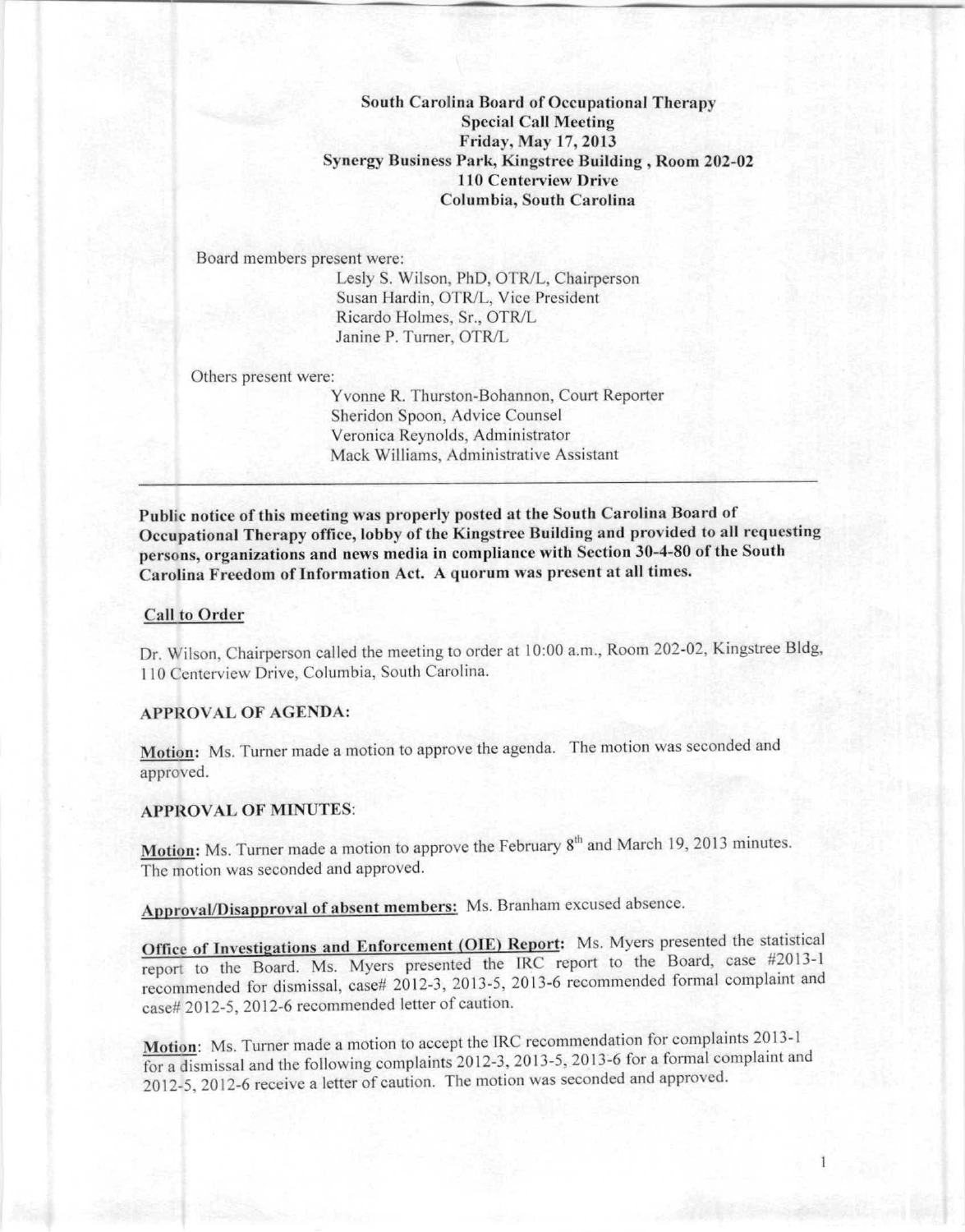South Carolina Board of Occupational Therapy Special Call Meeting Friday, May 17, 2013 Synergy Business Park, Kingstree Building, Room 202-02 110 Centerview Drive Columbia, South Carolina

Board members present were: Lesly S. Wilson, PhD, OTR/L, Chairperson Susan Hardin, OTR/L, Vice President Ricardo Holmes, Sr., OTRIL Janine P. Turner, OTR/L

Others present were:

Yvonne R, Thurston-Bohannon, Court Reporter Sheridon Spoon, Advice Counsel Veronica Reynolds, Administrator Mack Williams, Administrative Assistant

Public notice of this meeting was properly posted at the South Carolina Board of **Occupational Therapy office, lobby of the Kingstree Building and provided to all requesting persons, organizations and news media in compliance with Section 3()...•-80 of the South** Carolina Freedom of Information Act. A quorum was present at all times.

# Call to Order

Dr. Wilson, Chairperson called the meeting to order at 10:00 a.m., Room 202-02, Kingstree Bldg, 110 Centerview Drive, Columbia, South Carolina,

### APPROVAL OF AGENDA:

Motion: Ms, Turner made a motion to approve the agenda, The motion was seconded and approved.

#### APPROVAL OF MINUTES:

Motion: Ms. Turner made a motion to approve the February  $8<sup>m</sup>$  and March 19, 2013 minutes The motion was seconded and approved,

Approval/Disapproval of absent members: Ms. Branham excused absence.

Office of Investigations and Enforcement (OIE) Report: Ms. Myers presented the statistical report to the Board. Ms. Myers presented the IRC report to the Board, case #2013-1 recommended for dismissal, ease# 2012-3, 2013-5, 2013-6 recommended fonnal complaint and case# 2012-5, 2012-6 recommended letter of caution.

Motion: Ms, Turner made a motion to accept the IRC recommendation for complaints 2013-1 for a dismissal and the following complaints 2012-3, 2013-5, 2013-6 for a fornml complaint and 2012-5, 2012-6 receive a letter of caution, The motion was seconded and approved.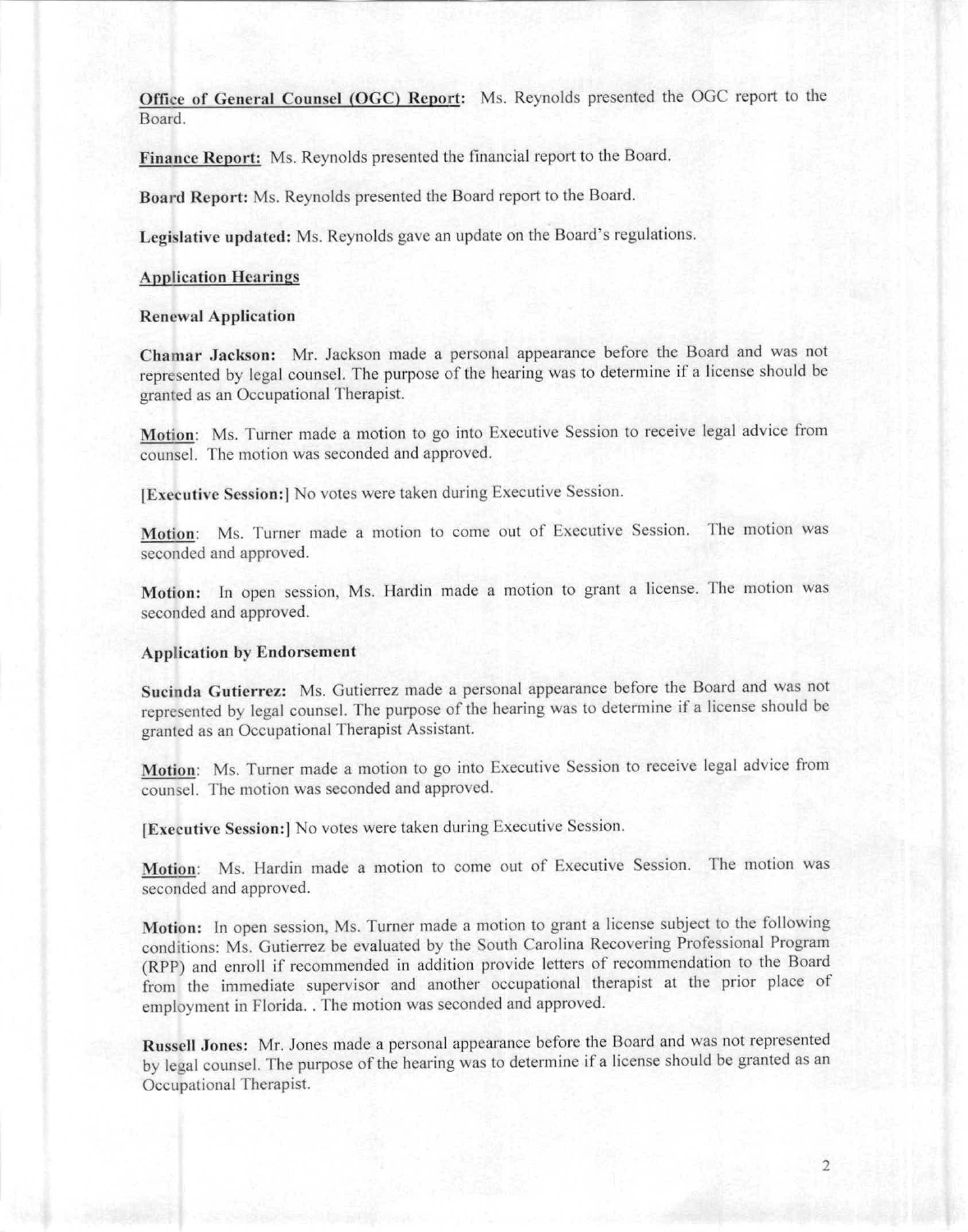Office of General Counsel (OGC) Report: Ms. Reynolds presented the OGC report to the Board.

Finance Report: Ms. Reynolds presented the financial report to the Board.

Board Report: Ms. Reynolds presented the Board report to the Board.

Legislative updated: Ms. Reynolds gave an update on the Board's regulations.

#### **Application Hearings**

### Renewal Application

Chamar Jackson: Mr. Jackson made a personal appearance before the Board and was not represcnted by Icgal counsel. The purpose of the hcaring was to determine if a license should be granted as an Occupational Therapist.

Motion: Ms. Turner made a motion to go into Executive Session to receive legal advice from counsel. The motion was seconded and approved.

IExecntive Session:1 No votes were taken during Executive Session.

**Motion:** Ms. Turner made a motion to come out of Executive Session. The motion was seconded and approved.

Motion: In open session, Ms. Hardin made a motion to grant a license. The motion was seconded and approved.

# Application by Endorsement

Sucinda Gutierrez: Ms. Gutierrez made a personal appearance before the Board and was not represented by legal counsel. The purpose of the hearing was to determine if a license should be granted as an Occupational Therapist Assistant.

Motion: Ms. Turner made a motion to go into Executive Session to receive legal advice from counsel. The motion was seconded and approved.

IExecotive Session:1 No votes were taken during Executive Session.

Motion: Ms. Hardin made a motion to come out of Executive Session. The motion was seconded and approved.

Motion: In open session, Ms. Turner made a motion to grant a license subject to the following conditions: Ms. Gutierrez be evaluated by the South Carolina Recovering Professional Program (RPP) and enroll if recommended in addition provide letters of recommendation to the Board from the immediate supervisor and another occupational therapist at the prior place of employment in Florida .. The motion was seconded and approved.

Russell Jones: Mr. Jones made a personal appearance before the Board and was not represented by legal counsel. The purpose of the hearing was to determine if a license should be granted as an Occupational Therapist.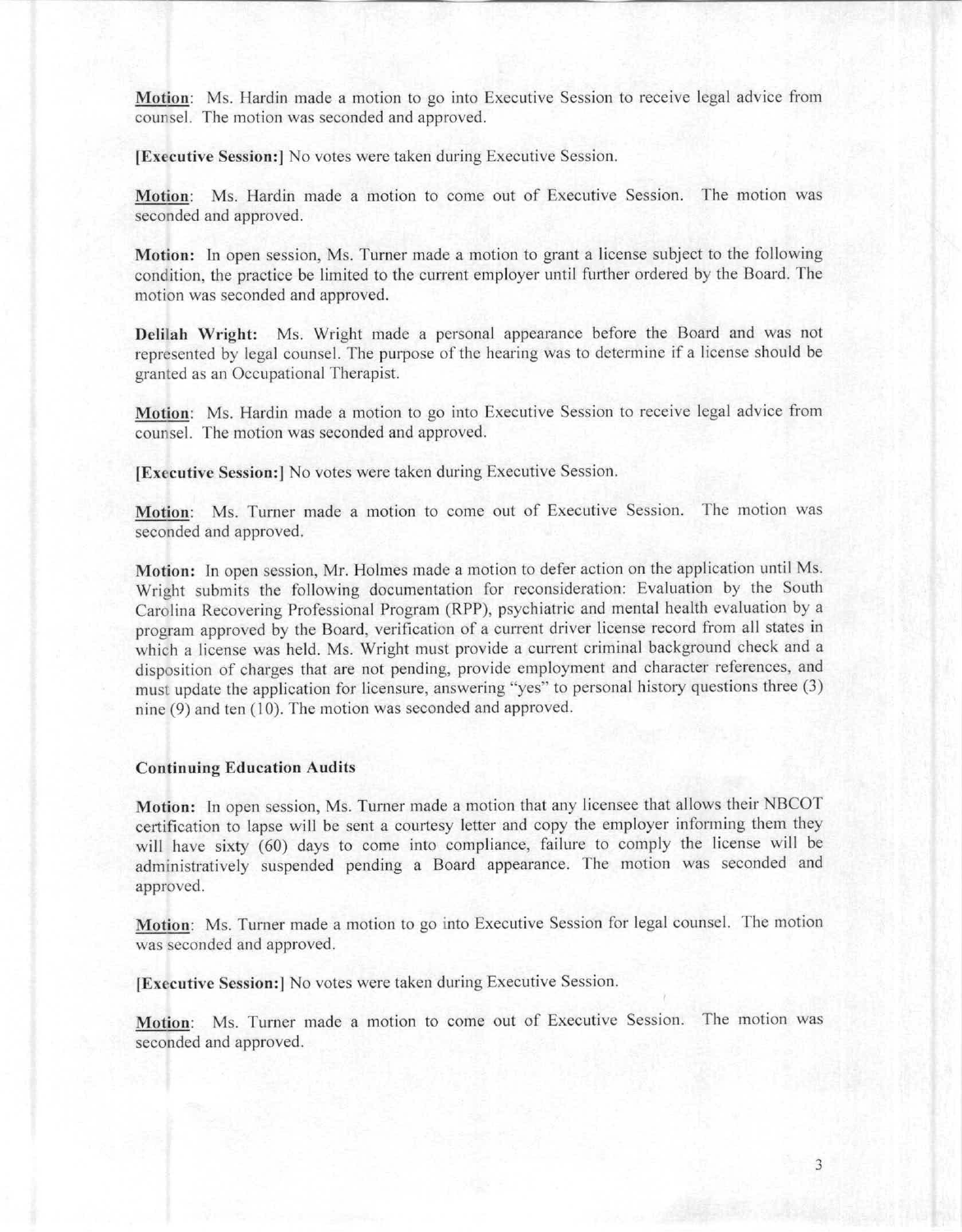Motion: Ms. Hardin made a motion to go into Exeeutive Session to receive legal advice from counsel. The motion was seconded and approved.

IExecutive Session:] No votes were taken during Executive Session.

Motion: Ms. Hardin made a motion to come out of Executive Session. The motion was seconded and approved.

Motion: In open session, Ms. Turner made a motion to grant a license subject to the following condition, the practice be limited to the current employer until further ordered by the Board. The motion was seconded and approved.

Delilah Wright: Ms. Wright made a personal appearance before the Board and was not represented by legal counsel. The purpose of the hearing was to determine if a license should be granted as an Occupational Therapist.

Motion: Ms. Hardin made a motion to go into Executive Session to receive legal advice from counsel. The motion was seconded and approved.

[Executive Session:] No votes were taken during Executive Session.

Motion: Ms. Turner made a motion to come out of Executive Session. The motion was seconded and approved.

Motion: In open session, Mr. Holmes made a motion to defer action on the application until Ms. Wright submits the following documentation for reconsideration: Evaluation by the South Carolina Recovering Professional Program (RPP), psychiatric and mental health evaluation by a program approved by the Board, verification of a current driver license record from all states in which a license was held. Ms. Wright must provide a current criminal background check and a disposition of charges that are not pending, provide employment and character references, and must update the application for licensure, answering "yes" to personal history questions three (3) nine (9) and ten (10). The motion was seconded and approved.

#### **Continuing Education Audits**

Motion: In open session, Ms. Turner made a motion that any licensee that allows their NBCOT certification to lapse will be sent a courtesy letter and copy the cmployer informing them they will have sixty (60) days to come into compliance, failure to comply the license will be administratively suspended pending a Board appearance. The motion was seconded and approved.

Motion: Ms. Turner made a motion to go into Executive Session for legal counsel. The motion was seconded and approved.

IExecutive Session:] No votes were taken during Executive Session.

**l\1otion: Ms. Turner made a** mol ion **to come out of Executive Session. The motion was** seconded and approved.